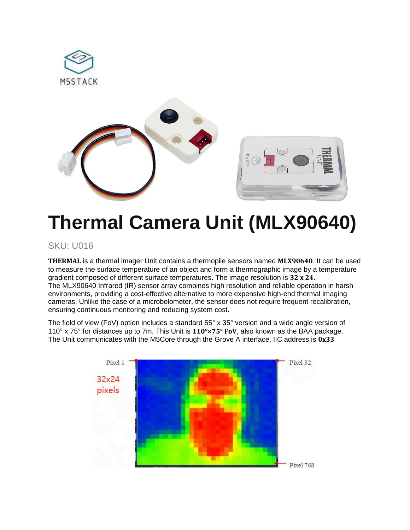

# **Thermal Camera Unit (MLX90640)**

#### SKU: U016

**THERMAL** is a thermal imager Unit contains a thermopile sensors named **MLX90640**. It can be used to measure the surface temperature of an object and form a thermographic image by a temperature gradient composed of different surface temperatures. The image resolution is **32 x 24**. The MLX90640 Infrared (IR) sensor array combines high resolution and reliable operation in harsh environments, providing a cost-effective alternative to more expensive high-end thermal imaging cameras. Unlike the case of a microbolometer, the sensor does not require frequent recalibration, ensuring continuous monitoring and reducing system cost.

The field of view (FoV) option includes a standard 55° x 35° version and a wide angle version of 110° x 75° for distances up to 7m. This Unit is **110°×75° FoV**, also known as the BAA package. The Unit communicates with the M5Core through the Grove A interface, IIC address is **0x33**

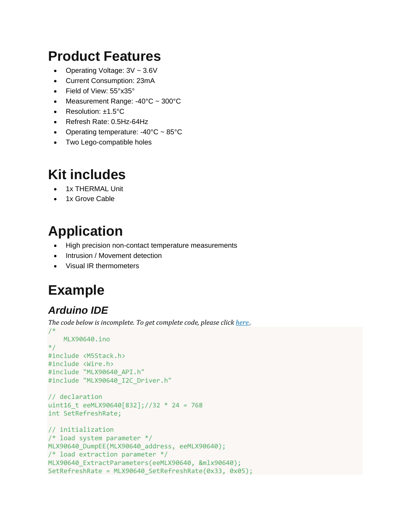#### **Product Features**

- Operating Voltage: 3V ~ 3.6V
- Current Consumption: 23mA
- Field of View: 55°x35°
- Measurement Range: -40°C ~ 300°C
- Resolution: ±1.5°C
- Refresh Rate: 0.5Hz-64Hz
- Operating temperature: -40°C ~ 85°C
- Two Lego-compatible holes

### **Kit includes**

- 1x THERMAL Unit
- 1x Grove Cable

# **Application**

- High precision non-contact temperature measurements
- Intrusion / Movement detection
- Visual IR thermometers

# **Example**

#### *Arduino IDE*

*The code below is incomplete. To get complete code, please click [here](https://github.com/m5stack/M5-ProductExampleCodes/tree/master/Unit/THERMAL/Arduino)*。

```
/*
    MLX90640.ino
*/
#include <M5Stack.h>
#include <Wire.h>
#include "MLX90640_API.h"
#include "MLX90640 I2C Driver.h"
// declaration
uint16_t eeMLX90640[832];//32 * 24 = 768
int SetRefreshRate;
// initialization
/* load system parameter */
MLX90640 DumpEE(MLX90640 address, eeMLX90640);
/* load extraction parameter */
MLX90640_ExtractParameters(eeMLX90640, &mlx90640);
SetRefreshRate = MLX90640_SetRefreshRate(0x33, 0x05);
```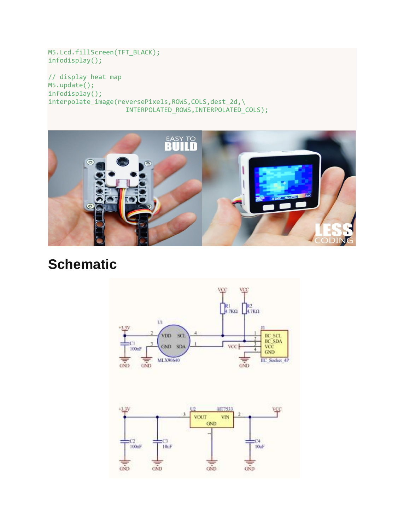M5.Lcd.fillScreen(TFT\_BLACK); infodisplay();

// display heat map M5.update(); infodisplay(); interpolate\_image(reversePixels,ROWS,COLS,dest\_2d,\ INTERPOLATED\_ROWS,INTERPOLATED\_COLS);



### **Schematic**